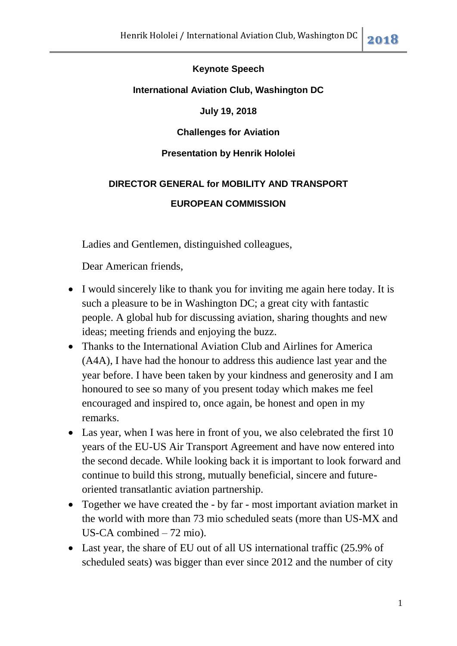## **Keynote Speech**

## **International Aviation Club, Washington DC**

## **July 19, 2018**

## **Challenges for Aviation**

## **Presentation by Henrik Hololei**

# **DIRECTOR GENERAL for MOBILITY AND TRANSPORT**

## **EUROPEAN COMMISSION**

Ladies and Gentlemen, distinguished colleagues,

Dear American friends,

- I would sincerely like to thank you for inviting me again here today. It is such a pleasure to be in Washington DC; a great city with fantastic people. A global hub for discussing aviation, sharing thoughts and new ideas; meeting friends and enjoying the buzz.
- Thanks to the International Aviation Club and Airlines for America (A4A), I have had the honour to address this audience last year and the year before. I have been taken by your kindness and generosity and I am honoured to see so many of you present today which makes me feel encouraged and inspired to, once again, be honest and open in my remarks.
- Las year, when I was here in front of you, we also celebrated the first 10 years of the EU-US Air Transport Agreement and have now entered into the second decade. While looking back it is important to look forward and continue to build this strong, mutually beneficial, sincere and futureoriented transatlantic aviation partnership.
- Together we have created the by far most important aviation market in the world with more than 73 mio scheduled seats (more than US-MX and US-CA combined – 72 mio).
- Last year, the share of EU out of all US international traffic (25.9% of scheduled seats) was bigger than ever since 2012 and the number of city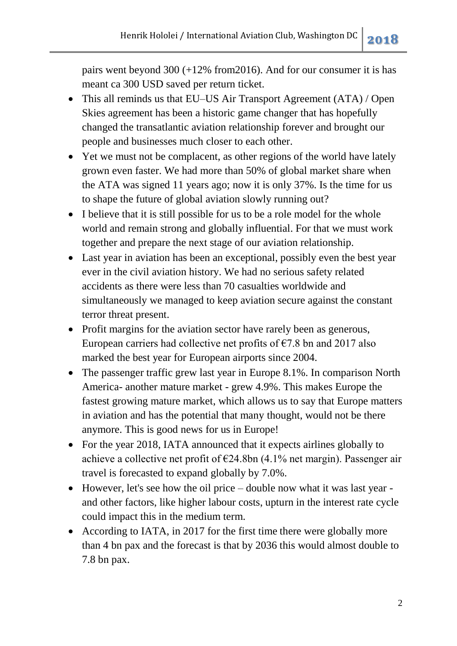pairs went beyond 300 (+12% from2016). And for our consumer it is has meant ca 300 USD saved per return ticket.

- This all reminds us that EU–US Air Transport Agreement (ATA) / Open Skies agreement has been a historic game changer that has hopefully changed the transatlantic aviation relationship forever and brought our people and businesses much closer to each other.
- Yet we must not be complacent, as other regions of the world have lately grown even faster. We had more than 50% of global market share when the ATA was signed 11 years ago; now it is only 37%. Is the time for us to shape the future of global aviation slowly running out?
- I believe that it is still possible for us to be a role model for the whole world and remain strong and globally influential. For that we must work together and prepare the next stage of our aviation relationship.
- Last year in aviation has been an exceptional, possibly even the best year ever in the civil aviation history. We had no serious safety related accidents as there were less than 70 casualties worldwide and simultaneously we managed to keep aviation secure against the constant terror threat present.
- Profit margins for the aviation sector have rarely been as generous, European carriers had collective net profits of  $\epsilon$ 7.8 bn and 2017 also marked the best year for European airports since 2004.
- The passenger traffic grew last year in Europe 8.1%. In comparison North America- another mature market - grew 4.9%. This makes Europe the fastest growing mature market, which allows us to say that Europe matters in aviation and has the potential that many thought, would not be there anymore. This is good news for us in Europe!
- For the year 2018, IATA announced that it expects airlines globally to achieve a collective net profit of €24.8bn (4.1% net margin). Passenger air travel is forecasted to expand globally by 7.0%.
- However, let's see how the oil price double now what it was last year and other factors, like higher labour costs, upturn in the interest rate cycle could impact this in the medium term.
- According to IATA, in 2017 for the first time there were globally more than 4 bn pax and the forecast is that by 2036 this would almost double to 7.8 bn pax.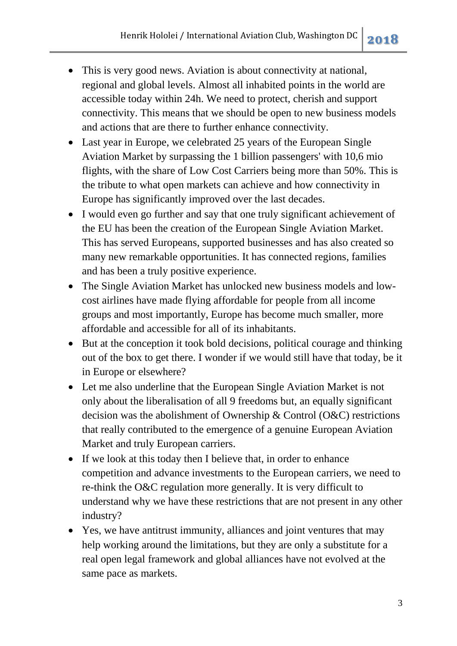- This is very good news. Aviation is about connectivity at national, regional and global levels. Almost all inhabited points in the world are accessible today within 24h. We need to protect, cherish and support connectivity. This means that we should be open to new business models and actions that are there to further enhance connectivity.
- Last year in Europe, we celebrated 25 years of the European Single Aviation Market by surpassing the 1 billion passengers' with 10,6 mio flights, with the share of Low Cost Carriers being more than 50%. This is the tribute to what open markets can achieve and how connectivity in Europe has significantly improved over the last decades.
- I would even go further and say that one truly significant achievement of the EU has been the creation of the European Single Aviation Market. This has served Europeans, supported businesses and has also created so many new remarkable opportunities. It has connected regions, families and has been a truly positive experience.
- The Single Aviation Market has unlocked new business models and lowcost airlines have made flying affordable for people from all income groups and most importantly, Europe has become much smaller, more affordable and accessible for all of its inhabitants.
- But at the conception it took bold decisions, political courage and thinking out of the box to get there. I wonder if we would still have that today, be it in Europe or elsewhere?
- Let me also underline that the European Single Aviation Market is not only about the liberalisation of all 9 freedoms but, an equally significant decision was the abolishment of Ownership & Control (O&C) restrictions that really contributed to the emergence of a genuine European Aviation Market and truly European carriers.
- If we look at this today then I believe that, in order to enhance competition and advance investments to the European carriers, we need to re-think the O&C regulation more generally. It is very difficult to understand why we have these restrictions that are not present in any other industry?
- Yes, we have antitrust immunity, alliances and joint ventures that may help working around the limitations, but they are only a substitute for a real open legal framework and global alliances have not evolved at the same pace as markets.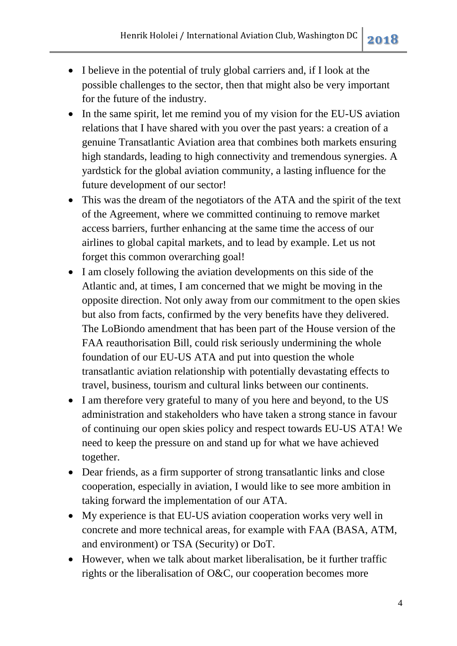- I believe in the potential of truly global carriers and, if I look at the possible challenges to the sector, then that might also be very important for the future of the industry.
- In the same spirit, let me remind you of my vision for the EU-US aviation relations that I have shared with you over the past years: a creation of a genuine Transatlantic Aviation area that combines both markets ensuring high standards, leading to high connectivity and tremendous synergies. A yardstick for the global aviation community, a lasting influence for the future development of our sector!
- This was the dream of the negotiators of the ATA and the spirit of the text of the Agreement, where we committed continuing to remove market access barriers, further enhancing at the same time the access of our airlines to global capital markets, and to lead by example. Let us not forget this common overarching goal!
- I am closely following the aviation developments on this side of the Atlantic and, at times, I am concerned that we might be moving in the opposite direction. Not only away from our commitment to the open skies but also from facts, confirmed by the very benefits have they delivered. The LoBiondo amendment that has been part of the House version of the FAA reauthorisation Bill, could risk seriously undermining the whole foundation of our EU-US ATA and put into question the whole transatlantic aviation relationship with potentially devastating effects to travel, business, tourism and cultural links between our continents.
- I am therefore very grateful to many of you here and beyond, to the US administration and stakeholders who have taken a strong stance in favour of continuing our open skies policy and respect towards EU-US ATA! We need to keep the pressure on and stand up for what we have achieved together.
- Dear friends, as a firm supporter of strong transatlantic links and close cooperation, especially in aviation, I would like to see more ambition in taking forward the implementation of our ATA.
- My experience is that EU-US aviation cooperation works very well in concrete and more technical areas, for example with FAA (BASA, ATM, and environment) or TSA (Security) or DoT.
- However, when we talk about market liberalisation, be it further traffic rights or the liberalisation of O&C, our cooperation becomes more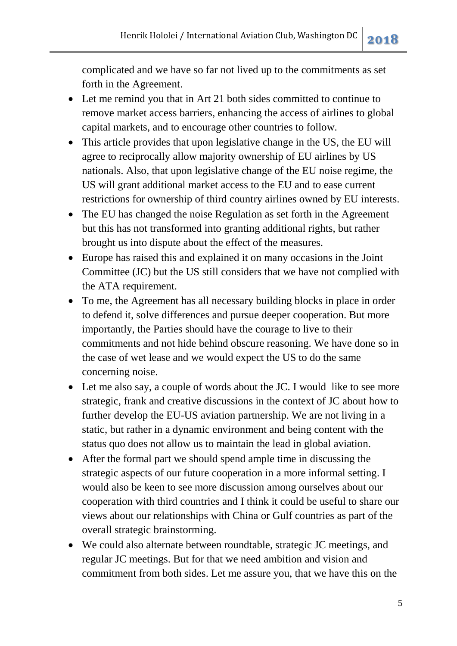complicated and we have so far not lived up to the commitments as set forth in the Agreement.

- Let me remind you that in Art 21 both sides committed to continue to remove market access barriers, enhancing the access of airlines to global capital markets, and to encourage other countries to follow.
- This article provides that upon legislative change in the US, the EU will agree to reciprocally allow majority ownership of EU airlines by US nationals. Also, that upon legislative change of the EU noise regime, the US will grant additional market access to the EU and to ease current restrictions for ownership of third country airlines owned by EU interests.
- The EU has changed the noise Regulation as set forth in the Agreement but this has not transformed into granting additional rights, but rather brought us into dispute about the effect of the measures.
- Europe has raised this and explained it on many occasions in the Joint Committee (JC) but the US still considers that we have not complied with the ATA requirement.
- To me, the Agreement has all necessary building blocks in place in order to defend it, solve differences and pursue deeper cooperation. But more importantly, the Parties should have the courage to live to their commitments and not hide behind obscure reasoning. We have done so in the case of wet lease and we would expect the US to do the same concerning noise.
- Let me also say, a couple of words about the JC. I would like to see more strategic, frank and creative discussions in the context of JC about how to further develop the EU-US aviation partnership. We are not living in a static, but rather in a dynamic environment and being content with the status quo does not allow us to maintain the lead in global aviation.
- After the formal part we should spend ample time in discussing the strategic aspects of our future cooperation in a more informal setting. I would also be keen to see more discussion among ourselves about our cooperation with third countries and I think it could be useful to share our views about our relationships with China or Gulf countries as part of the overall strategic brainstorming.
- We could also alternate between roundtable, strategic JC meetings, and regular JC meetings. But for that we need ambition and vision and commitment from both sides. Let me assure you, that we have this on the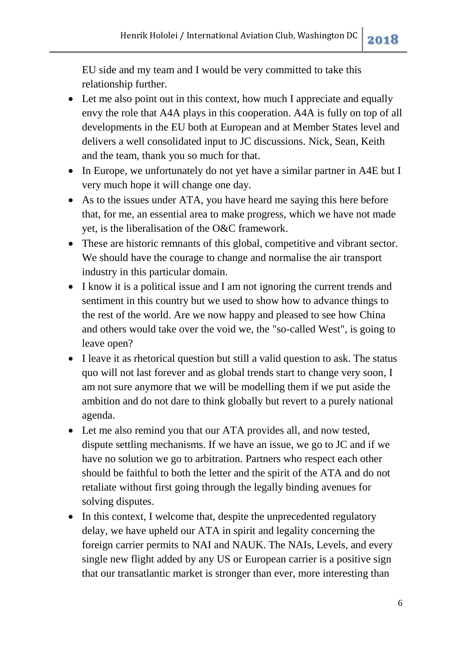EU side and my team and I would be very committed to take this relationship further.

- Let me also point out in this context, how much I appreciate and equally envy the role that A4A plays in this cooperation. A4A is fully on top of all developments in the EU both at European and at Member States level and delivers a well consolidated input to JC discussions. Nick, Sean, Keith and the team, thank you so much for that.
- In Europe, we unfortunately do not yet have a similar partner in A4E but I very much hope it will change one day.
- As to the issues under ATA, you have heard me saying this here before that, for me, an essential area to make progress, which we have not made yet, is the liberalisation of the O&C framework.
- These are historic remnants of this global, competitive and vibrant sector. We should have the courage to change and normalise the air transport industry in this particular domain.
- I know it is a political issue and I am not ignoring the current trends and sentiment in this country but we used to show how to advance things to the rest of the world. Are we now happy and pleased to see how China and others would take over the void we, the "so-called West", is going to leave open?
- I leave it as rhetorical question but still a valid question to ask. The status quo will not last forever and as global trends start to change very soon, I am not sure anymore that we will be modelling them if we put aside the ambition and do not dare to think globally but revert to a purely national agenda.
- Let me also remind you that our ATA provides all, and now tested, dispute settling mechanisms. If we have an issue, we go to JC and if we have no solution we go to arbitration. Partners who respect each other should be faithful to both the letter and the spirit of the ATA and do not retaliate without first going through the legally binding avenues for solving disputes.
- In this context, I welcome that, despite the unprecedented regulatory delay, we have upheld our ATA in spirit and legality concerning the foreign carrier permits to NAI and NAUK. The NAIs, Levels, and every single new flight added by any US or European carrier is a positive sign that our transatlantic market is stronger than ever, more interesting than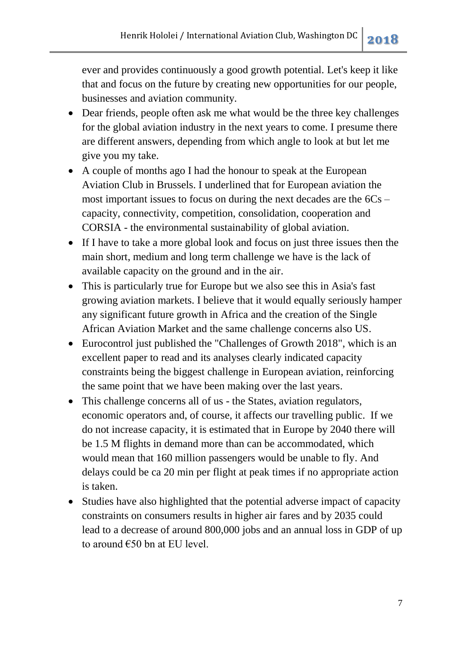ever and provides continuously a good growth potential. Let's keep it like that and focus on the future by creating new opportunities for our people, businesses and aviation community.

- Dear friends, people often ask me what would be the three key challenges for the global aviation industry in the next years to come. I presume there are different answers, depending from which angle to look at but let me give you my take.
- A couple of months ago I had the honour to speak at the European Aviation Club in Brussels. I underlined that for European aviation the most important issues to focus on during the next decades are the 6Cs – capacity, connectivity, competition, consolidation, cooperation and CORSIA - the environmental sustainability of global aviation.
- If I have to take a more global look and focus on just three issues then the main short, medium and long term challenge we have is the lack of available capacity on the ground and in the air.
- This is particularly true for Europe but we also see this in Asia's fast growing aviation markets. I believe that it would equally seriously hamper any significant future growth in Africa and the creation of the Single African Aviation Market and the same challenge concerns also US.
- Eurocontrol just published the "Challenges of Growth 2018", which is an excellent paper to read and its analyses clearly indicated capacity constraints being the biggest challenge in European aviation, reinforcing the same point that we have been making over the last years.
- This challenge concerns all of us the States, aviation regulators, economic operators and, of course, it affects our travelling public. If we do not increase capacity, it is estimated that in Europe by 2040 there will be 1.5 M flights in demand more than can be accommodated, which would mean that 160 million passengers would be unable to fly. And delays could be ca 20 min per flight at peak times if no appropriate action is taken.
- Studies have also highlighted that the potential adverse impact of capacity constraints on consumers results in higher air fares and by 2035 could lead to a decrease of around 800,000 jobs and an annual loss in GDP of up to around €50 bn at EU level.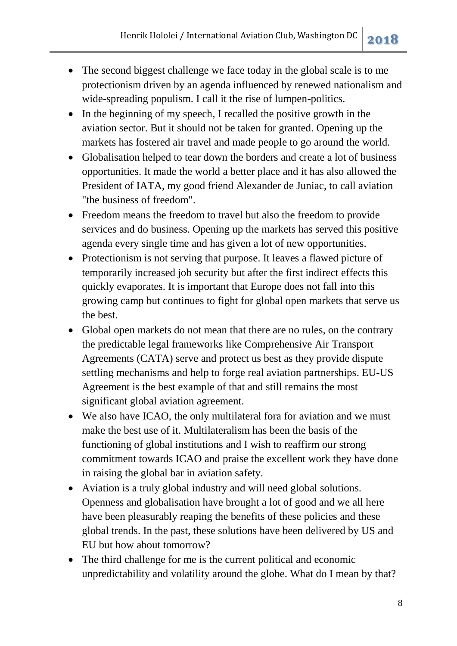- The second biggest challenge we face today in the global scale is to me protectionism driven by an agenda influenced by renewed nationalism and wide-spreading populism. I call it the rise of lumpen-politics.
- In the beginning of my speech, I recalled the positive growth in the aviation sector. But it should not be taken for granted. Opening up the markets has fostered air travel and made people to go around the world.
- Globalisation helped to tear down the borders and create a lot of business opportunities. It made the world a better place and it has also allowed the President of IATA, my good friend Alexander de Juniac, to call aviation "the business of freedom".
- Freedom means the freedom to travel but also the freedom to provide services and do business. Opening up the markets has served this positive agenda every single time and has given a lot of new opportunities.
- Protectionism is not serving that purpose. It leaves a flawed picture of temporarily increased job security but after the first indirect effects this quickly evaporates. It is important that Europe does not fall into this growing camp but continues to fight for global open markets that serve us the best.
- Global open markets do not mean that there are no rules, on the contrary the predictable legal frameworks like Comprehensive Air Transport Agreements (CATA) serve and protect us best as they provide dispute settling mechanisms and help to forge real aviation partnerships. EU-US Agreement is the best example of that and still remains the most significant global aviation agreement.
- We also have ICAO, the only multilateral fora for aviation and we must make the best use of it. Multilateralism has been the basis of the functioning of global institutions and I wish to reaffirm our strong commitment towards ICAO and praise the excellent work they have done in raising the global bar in aviation safety.
- Aviation is a truly global industry and will need global solutions. Openness and globalisation have brought a lot of good and we all here have been pleasurably reaping the benefits of these policies and these global trends. In the past, these solutions have been delivered by US and EU but how about tomorrow?
- The third challenge for me is the current political and economic unpredictability and volatility around the globe. What do I mean by that?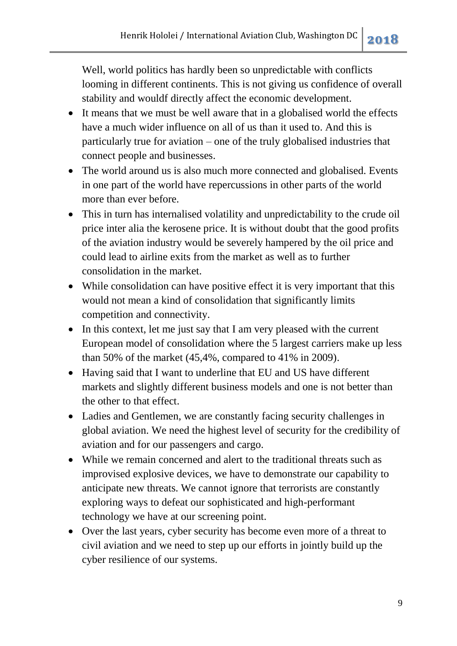Well, world politics has hardly been so unpredictable with conflicts looming in different continents. This is not giving us confidence of overall stability and wouldf directly affect the economic development.

- It means that we must be well aware that in a globalised world the effects have a much wider influence on all of us than it used to. And this is particularly true for aviation – one of the truly globalised industries that connect people and businesses.
- The world around us is also much more connected and globalised. Events in one part of the world have repercussions in other parts of the world more than ever before.
- This in turn has internalised volatility and unpredictability to the crude oil price inter alia the kerosene price. It is without doubt that the good profits of the aviation industry would be severely hampered by the oil price and could lead to airline exits from the market as well as to further consolidation in the market.
- While consolidation can have positive effect it is very important that this would not mean a kind of consolidation that significantly limits competition and connectivity.
- In this context, let me just say that I am very pleased with the current European model of consolidation where the 5 largest carriers make up less than 50% of the market (45,4%, compared to 41% in 2009).
- Having said that I want to underline that EU and US have different markets and slightly different business models and one is not better than the other to that effect.
- Ladies and Gentlemen, we are constantly facing security challenges in global aviation. We need the highest level of security for the credibility of aviation and for our passengers and cargo.
- While we remain concerned and alert to the traditional threats such as improvised explosive devices, we have to demonstrate our capability to anticipate new threats. We cannot ignore that terrorists are constantly exploring ways to defeat our sophisticated and high-performant technology we have at our screening point.
- Over the last years, cyber security has become even more of a threat to civil aviation and we need to step up our efforts in jointly build up the cyber resilience of our systems.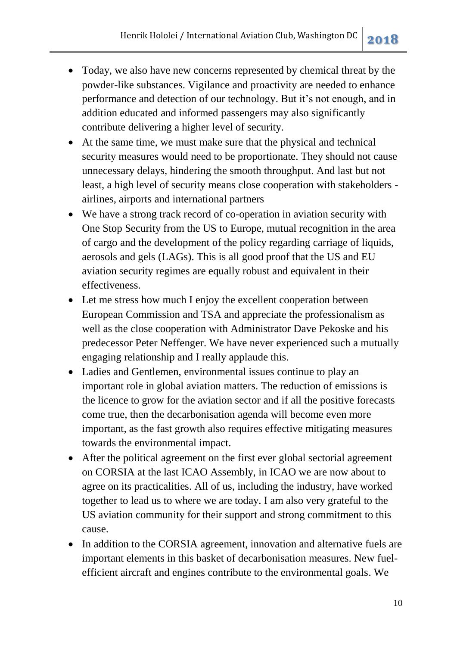- Today, we also have new concerns represented by chemical threat by the powder-like substances. Vigilance and proactivity are needed to enhance performance and detection of our technology. But it's not enough, and in addition educated and informed passengers may also significantly contribute delivering a higher level of security.
- At the same time, we must make sure that the physical and technical security measures would need to be proportionate. They should not cause unnecessary delays, hindering the smooth throughput. And last but not least, a high level of security means close cooperation with stakeholders airlines, airports and international partners
- We have a strong track record of co-operation in aviation security with One Stop Security from the US to Europe, mutual recognition in the area of cargo and the development of the policy regarding carriage of liquids, aerosols and gels (LAGs). This is all good proof that the US and EU aviation security regimes are equally robust and equivalent in their effectiveness.
- Let me stress how much I enjoy the excellent cooperation between European Commission and TSA and appreciate the professionalism as well as the close cooperation with Administrator Dave Pekoske and his predecessor Peter Neffenger. We have never experienced such a mutually engaging relationship and I really applaude this.
- Ladies and Gentlemen, environmental issues continue to play an important role in global aviation matters. The reduction of emissions is the licence to grow for the aviation sector and if all the positive forecasts come true, then the decarbonisation agenda will become even more important, as the fast growth also requires effective mitigating measures towards the environmental impact.
- After the political agreement on the first ever global sectorial agreement on CORSIA at the last ICAO Assembly, in ICAO we are now about to agree on its practicalities. All of us, including the industry, have worked together to lead us to where we are today. I am also very grateful to the US aviation community for their support and strong commitment to this cause.
- In addition to the CORSIA agreement, innovation and alternative fuels are important elements in this basket of decarbonisation measures. New fuelefficient aircraft and engines contribute to the environmental goals. We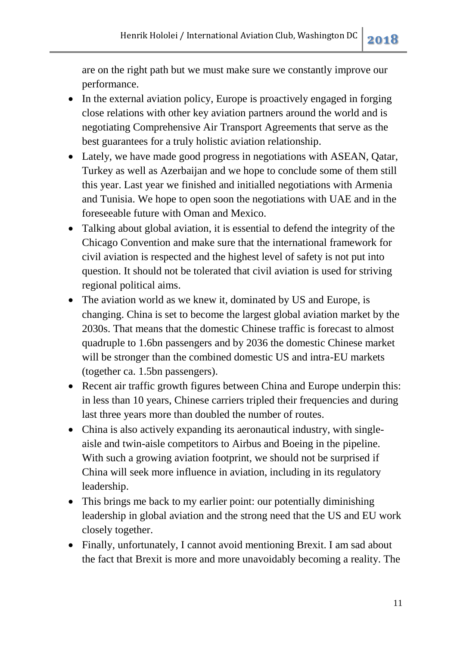are on the right path but we must make sure we constantly improve our performance.

- In the external aviation policy, Europe is proactively engaged in forging close relations with other key aviation partners around the world and is negotiating Comprehensive Air Transport Agreements that serve as the best guarantees for a truly holistic aviation relationship.
- Lately, we have made good progress in negotiations with ASEAN, Qatar, Turkey as well as Azerbaijan and we hope to conclude some of them still this year. Last year we finished and initialled negotiations with Armenia and Tunisia. We hope to open soon the negotiations with UAE and in the foreseeable future with Oman and Mexico.
- Talking about global aviation, it is essential to defend the integrity of the Chicago Convention and make sure that the international framework for civil aviation is respected and the highest level of safety is not put into question. It should not be tolerated that civil aviation is used for striving regional political aims.
- The aviation world as we knew it, dominated by US and Europe, is changing. China is set to become the largest global aviation market by the 2030s. That means that the domestic Chinese traffic is forecast to almost quadruple to 1.6bn passengers and by 2036 the domestic Chinese market will be stronger than the combined domestic US and intra-EU markets (together ca. 1.5bn passengers).
- Recent air traffic growth figures between China and Europe underpin this: in less than 10 years, Chinese carriers tripled their frequencies and during last three years more than doubled the number of routes.
- China is also actively expanding its aeronautical industry, with singleaisle and twin-aisle competitors to Airbus and Boeing in the pipeline. With such a growing aviation footprint, we should not be surprised if China will seek more influence in aviation, including in its regulatory leadership.
- This brings me back to my earlier point: our potentially diminishing leadership in global aviation and the strong need that the US and EU work closely together.
- Finally, unfortunately, I cannot avoid mentioning Brexit. I am sad about the fact that Brexit is more and more unavoidably becoming a reality. The